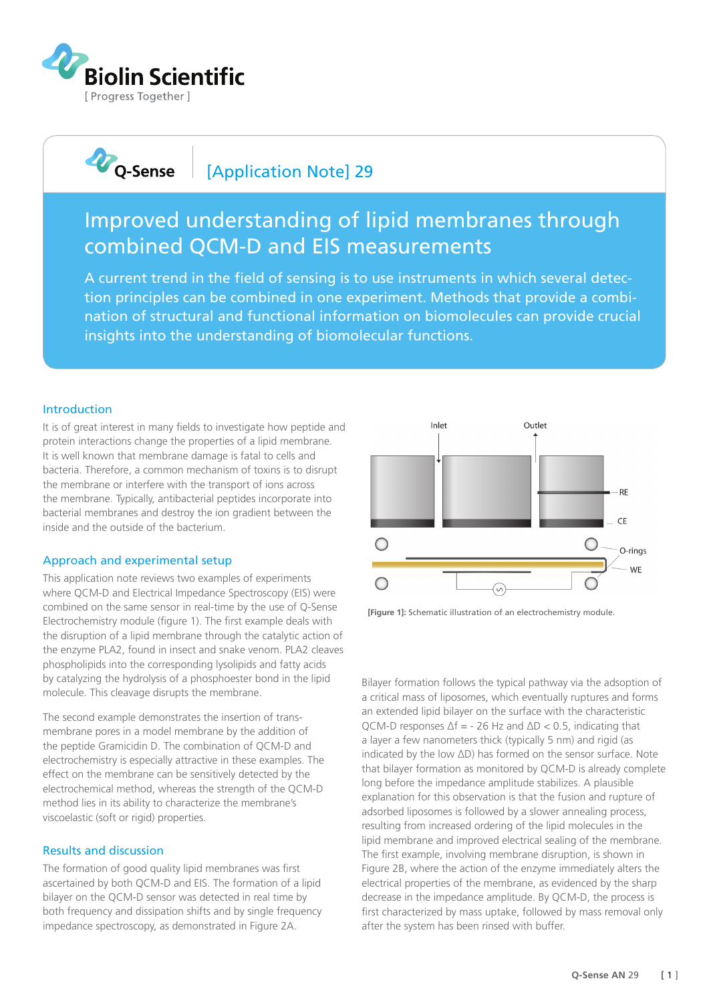

**D**Q-Sense

# [Application Note] 29

# Improved understanding of lipid membranes through combined QCM-D and EIS measurements

A current trend in the field of sensing is to use instruments in which several detection principles can be combined in one experiment. Methods that provide a combination of structural and functional information on biomolecules can provide crucial insights into the understanding of biomolecular functions.

### Introduction

It is of great interest in many fields to investigate how peptide and protein interactions change the properties of a lipid membrane. It is well known that membrane damage is fatal to cells and bacteria. Therefore, a common mechanism of toxins is to disrupt the membrane or interfere with the transport of ions across the membrane. Typically, antibacterial peptides incorporate into bacterial membranes and destroy the ion gradient between the inside and the outside of the bacterium.

### Approach and experimental setup

This application note reviews two examples of experiments where QCM-D and Electrical Impedance Spectroscopy (EIS) were combined on the same sensor in real-time by the use of Q-Sense Electrochemistry module (figure 1). The first example deals with the disruption of a lipid membrane through the catalytic action of the enzyme PLA2, found in insect and snake venom. PLA2 cleaves phospholipids into the corresponding lysolipids and fatty acids by catalyzing the hydrolysis of a phosphoester bond in the lipid molecule. This cleavage disrupts the membrane.

The second example demonstrates the insertion of transmembrane pores in a model membrane by the addition of the peptide Gramicidin D. The combination of QCM-D and electrochemistry is especially attractive in these examples. The effect on the membrane can be sensitively detected by the electrochemical method, whereas the strength of the QCM-D method lies in its ability to characterize the membrane's viscoelastic (soft or rigid) properties.

### Results and discussion

The formation of good quality lipid membranes was first ascertained by both QCM-D and EIS. The formation of a lipid bilayer on the QCM-D sensor was detected in real time by both frequency and dissipation shifts and by single frequency impedance spectroscopy, as demonstrated in Figure 2A.



**[Figure 1]:** Schematic illustration of an electrochemistry module.

Bilayer formation follows the typical pathway via the adsoption of a critical mass of liposomes, which eventually ruptures and forms an extended lipid bilayer on the surface with the characteristic  $OCM-D$  responses  $\Delta f = -26$  Hz and  $\Delta D < 0.5$ , indicating that a layer a few nanometers thick (typically 5 nm) and rigid (as indicated by the low ΔD) has formed on the sensor surface. Note that bilayer formation as monitored by QCM-D is already complete long before the impedance amplitude stabilizes. A plausible explanation for this observation is that the fusion and rupture of adsorbed liposomes is followed by a slower annealing process, resulting from increased ordering of the lipid molecules in the lipid membrane and improved electrical sealing of the membrane. The first example, involving membrane disruption, is shown in Figure 2B, where the action of the enzyme immediately alters the electrical properties of the membrane, as evidenced by the sharp decrease in the impedance amplitude. By QCM-D, the process is first characterized by mass uptake, followed by mass removal only after the system has been rinsed with buffer.